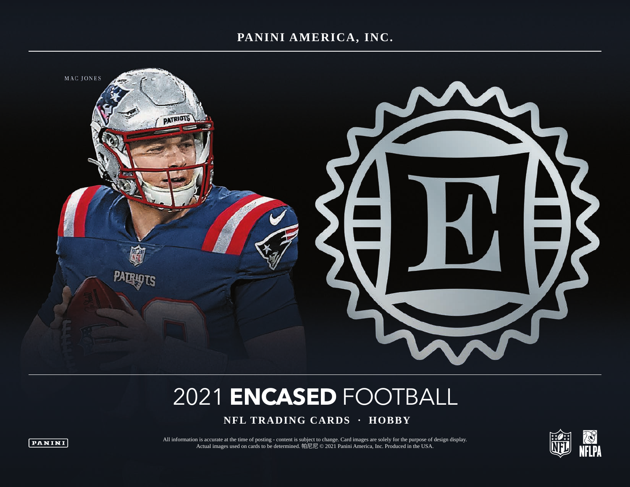## **PANINI AMERICA, INC.**



# 2021 **ENCASED** FOOTBALL

 **NFL TRADING CARDS · HOBBY**



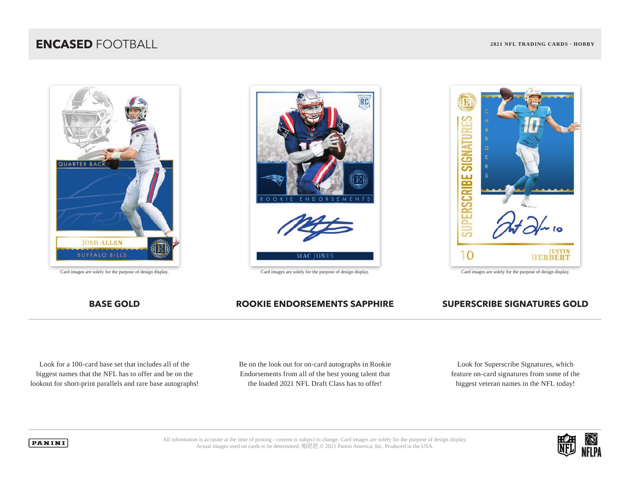# **ENCASED** FOOTBALL **2021 NFL TRADING CARDS · HOBBY**







## **BASE GOLD ROOKIE ENDORSEMENTS SAPPHIRE SUPERSCRIBE SIGNATURES GOLD**

Look for a 100-card base set that includes all of the biggest names that the NFL has to offer and be on the lookout for short-print parallels and rare base autographs! Be on the look out for on-card autographs in Rookie Endorsements from all of the best young talent that the loaded 2021 NFL Draft Class has to offer!

Look for Superscribe Signatures, which feature on-card signatures from some of the biggest veteran names in the NFL today!



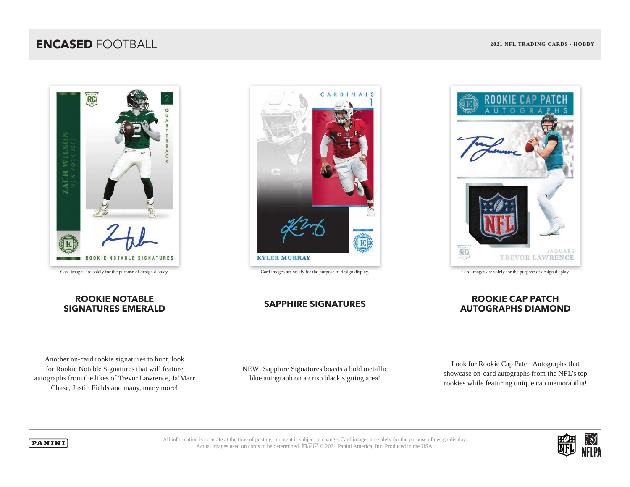# **ENCASED** FOOTBALL **2021 NFL TRADING CARDS · HOBBY**









## **ROOKIE NOTABLE SIGNATURES EMERALD SAPPHIRE SIGNATURES ROOKIE CAP PATCH**

# **AUTOGRAPHS DIAMOND**

Another on-card rookie signatures to hunt, look for Rookie Notable Signatures that will feature autographs from the likes of Trevor Lawrence, Ja'Marr Chase, Justin Fields and many, many more!

NEW! Sapphire Signatures boasts a bold metallic blue autograph on a crisp black signing area!

Look for Rookie Cap Patch Autographs that showcase on-card autographs from the NFL's top rookies while featuring unique cap memorabilia!



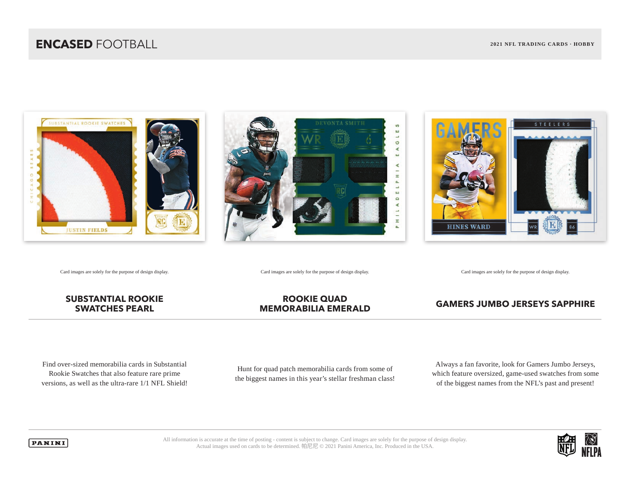





Card images are solely for the purpose of design display. Card images are solely for the purpose of design display. Card images are solely for the purpose of design display.

## **SUBSTANTIAL ROOKIE SWATCHES PEARL**

## **ROOKIE QUAD MEMORABILIA EMERALD GAMERS JUMBO JERSEYS SAPPHIRE**

Find over-sized memorabilia cards in Substantial Rookie Swatches that also feature rare prime versions, as well as the ultra-rare 1/1 NFL Shield!

Hunt for quad patch memorabilia cards from some of the biggest names in this year's stellar freshman class!

Always a fan favorite, look for Gamers Jumbo Jerseys, which feature oversized, game-used swatches from some of the biggest names from the NFL's past and present!



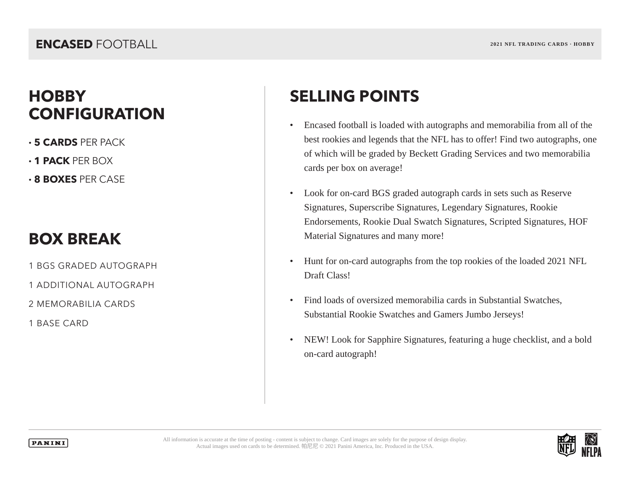# **HOBBY SELLING POINTS CONFIGURATION**

- **· 5 CARDS** PER PACK
- **· 1 PACK** PER BOX
- **· 8 BOXES** PER CASE

# **BOX BREAK**

1 BGS GRADED AUTOGRAPH

1 ADDITIONAL AUTOGRAPH

2 MEMORABILIA CARDS

1 BASE CARD

- Encased football is loaded with autographs and memorabilia from all of the best rookies and legends that the NFL has to offer! Find two autographs, one of which will be graded by Beckett Grading Services and two memorabilia cards per box on average!
- Look for on-card BGS graded autograph cards in sets such as Reserve Signatures, Superscribe Signatures, Legendary Signatures, Rookie Endorsements, Rookie Dual Swatch Signatures, Scripted Signatures, HOF Material Signatures and many more!
- Hunt for on-card autographs from the top rookies of the loaded 2021 NFL Draft Class!
- Find loads of oversized memorabilia cards in Substantial Swatches, Substantial Rookie Swatches and Gamers Jumbo Jerseys!
- NEW! Look for Sapphire Signatures, featuring a huge checklist, and a bold on-card autograph!